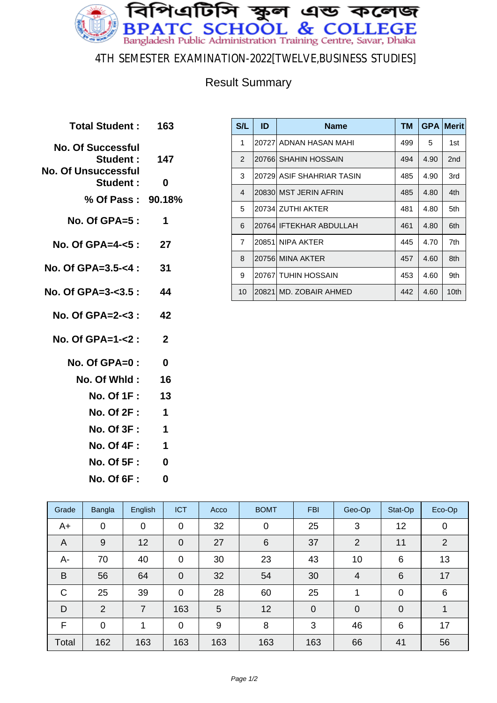

#### 4TH SEMESTER EXAMINATION-2022[TWELVE,BUSINESS STUDIES]

### Result Summary

| Total Student: 163                                                 |              |
|--------------------------------------------------------------------|--------------|
| <b>No. Of Successful</b><br>Student:<br><b>No. Of Unsuccessful</b> | 147          |
| Student:                                                           | U            |
| % Of Pass: 90.18%                                                  |              |
| <b>No. Of GPA=5 :</b>                                              | 1            |
| No. Of GPA=4-<5 :                                                  | 27           |
| No. Of GPA=3.5-<4 :                                                | 31           |
| No. Of GPA=3-<3.5 :                                                | 44           |
| No. Of GPA=2-<3 :                                                  | 42           |
| No. Of GPA=1-<2 :                                                  | $\mathbf{2}$ |
| $No. Of GPA = 0$ :                                                 | 0            |
| No. Of Whid :                                                      | 16           |
| <b>No. Of 1F:</b>                                                  | 13           |
| <b>No. Of 2F:</b>                                                  | $\mathbf 1$  |
| <b>No. Of 3F :</b>                                                 | $\mathbf 1$  |
| <b>No. Of 4F:</b>                                                  | 1            |
| <b>No. Of 5F:</b>                                                  | 0            |
| <b>No. Of 6F:</b>                                                  | Ω            |
|                                                                    |              |

| S/L            | ID     | <b>Name</b>               | тм  | <b>GPA</b> | <b>Merit</b>    |
|----------------|--------|---------------------------|-----|------------|-----------------|
| 1              |        | 20727 ADNAN HASAN MAHI    | 499 | 5          | 1st             |
| $\mathcal{P}$  | 207661 | <b>SHAHIN HOSSAIN</b>     | 494 | 4.90       | 2 <sub>nd</sub> |
| 3              |        | 20729 ASIF SHAHRIAR TASIN | 485 | 4.90       | 3rd             |
| $\overline{4}$ |        | 20830 MST JERIN AFRIN     | 485 | 4.80       | 4th             |
| 5              |        | 20734 ZUTHI AKTER         | 481 | 4.80       | 5th             |
| 6              |        | 20764 IFTEKHAR ABDULLAH   | 461 | 4.80       | 6th             |
| $\overline{7}$ | 20851  | NIPA AKTER                | 445 | 4.70       | 7th             |
| 8              |        | 20756 MINA AKTER          | 457 | 4.60       | 8th             |
| 9              |        | 20767 TUHIN HOSSAIN       | 453 | 4.60       | 9th             |
| 10             |        | 20821 MD. ZOBAIR AHMED    | 442 | 4.60       | 10th            |

| Grade        | Bangla         | English | <b>ICT</b>     | Acco | <b>BOMT</b> | <b>FBI</b>     | Geo-Op         | Stat-Op         | Eco-Op         |
|--------------|----------------|---------|----------------|------|-------------|----------------|----------------|-----------------|----------------|
| $A+$         | $\mathbf 0$    | 0       | $\mathbf 0$    | 32   | $\mathbf 0$ | 25             | 3              | 12              | 0              |
| A            | 9              | 12      | $\overline{0}$ | 27   | 6           | 37             | $\overline{2}$ | 11              | $\overline{2}$ |
| A-           | 70             | 40      | $\mathbf 0$    | 30   | 23          | 43             | 10             | 6               | 13             |
| B            | 56             | 64      | $\mathbf 0$    | 32   | 54          | 30             | $\overline{4}$ | $6\phantom{1}6$ | 17             |
| $\mathsf{C}$ | 25             | 39      | $\mathbf 0$    | 28   | 60          | 25             |                | $\mathbf 0$     | 6              |
| D            | $\overline{2}$ | 7       | 163            | 5    | 12          | $\overline{0}$ | $\overline{0}$ | $\overline{0}$  |                |
| F            | $\mathbf 0$    | 1       | $\mathbf 0$    | 9    | 8           | 3              | 46             | 6               | 17             |
| Total        | 162            | 163     | 163            | 163  | 163         | 163            | 66             | 41              | 56             |